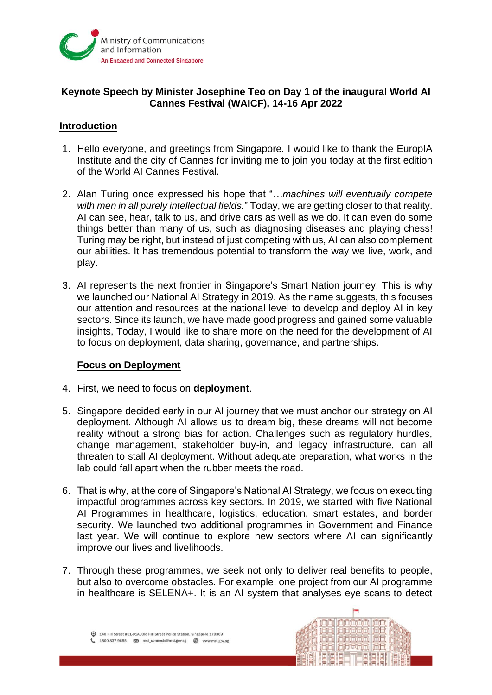

## **Keynote Speech by Minister Josephine Teo on Day 1 of the inaugural World AI Cannes Festival (WAICF), 14-16 Apr 2022**

#### **Introduction**

- 1. Hello everyone, and greetings from Singapore. I would like to thank the EuropIA Institute and the city of Cannes for inviting me to join you today at the first edition of the World AI Cannes Festival.
- 2. Alan Turing once expressed his hope that "*…machines will eventually compete with men in all purely intellectual fields.*" Today, we are getting closer to that reality. AI can see, hear, talk to us, and drive cars as well as we do. It can even do some things better than many of us, such as diagnosing diseases and playing chess! Turing may be right, but instead of just competing with us, AI can also complement our abilities. It has tremendous potential to transform the way we live, work, and play.
- 3. AI represents the next frontier in Singapore's Smart Nation journey. This is why we launched our National AI Strategy in 2019. As the name suggests, this focuses our attention and resources at the national level to develop and deploy AI in key sectors. Since its launch, we have made good progress and gained some valuable insights, Today, I would like to share more on the need for the development of AI to focus on deployment, data sharing, governance, and partnerships.

#### **Focus on Deployment**

- 4. First, we need to focus on **deployment**.
- 5. Singapore decided early in our AI journey that we must anchor our strategy on AI deployment. Although AI allows us to dream big, these dreams will not become reality without a strong bias for action. Challenges such as regulatory hurdles, change management, stakeholder buy-in, and legacy infrastructure, can all threaten to stall AI deployment. Without adequate preparation, what works in the lab could fall apart when the rubber meets the road.
- 6. That is why, at the core of Singapore's National AI Strategy, we focus on executing impactful programmes across key sectors. In 2019, we started with five National AI Programmes in healthcare, logistics, education, smart estates, and border security. We launched two additional programmes in Government and Finance last year. We will continue to explore new sectors where AI can significantly improve our lives and livelihoods.
- 7. Through these programmes, we seek not only to deliver real benefits to people, but also to overcome obstacles. For example, one project from our AI programme in healthcare is SELENA+. It is an AI system that analyses eye scans to detect

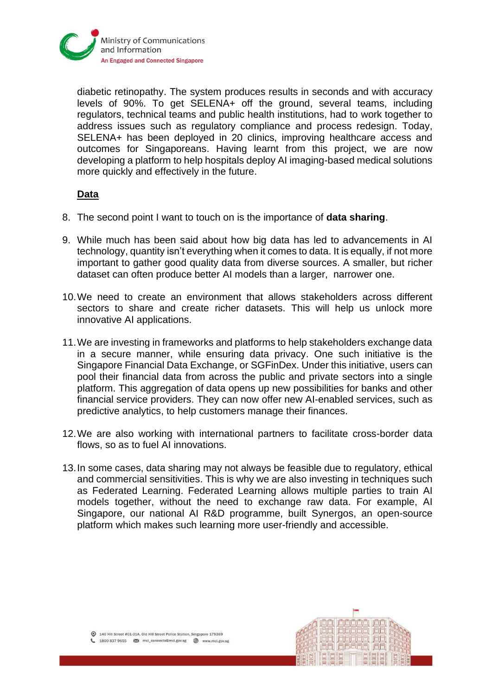

diabetic retinopathy. The system produces results in seconds and with accuracy levels of 90%. To get SELENA+ off the ground, several teams, including regulators, technical teams and public health institutions, had to work together to address issues such as regulatory compliance and process redesign. Today, SELENA+ has been deployed in 20 clinics, improving healthcare access and outcomes for Singaporeans. Having learnt from this project, we are now developing a platform to help hospitals deploy AI imaging-based medical solutions more quickly and effectively in the future.

### **Data**

- 8. The second point I want to touch on is the importance of **data sharing**.
- 9. While much has been said about how big data has led to advancements in AI technology, quantity isn't everything when it comes to data. It is equally, if not more important to gather good quality data from diverse sources. A smaller, but richer dataset can often produce better AI models than a larger, narrower one.
- 10.We need to create an environment that allows stakeholders across different sectors to share and create richer datasets. This will help us unlock more innovative AI applications.
- 11.We are investing in frameworks and platforms to help stakeholders exchange data in a secure manner, while ensuring data privacy. One such initiative is the Singapore Financial Data Exchange, or SGFinDex. Under this initiative, users can pool their financial data from across the public and private sectors into a single platform. This aggregation of data opens up new possibilities for banks and other financial service providers. They can now offer new AI-enabled services, such as predictive analytics, to help customers manage their finances.
- 12.We are also working with international partners to facilitate cross-border data flows, so as to fuel AI innovations.
- 13.In some cases, data sharing may not always be feasible due to regulatory, ethical and commercial sensitivities. This is why we are also investing in techniques such as Federated Learning. Federated Learning allows multiple parties to train AI models together, without the need to exchange raw data. For example, AI Singapore, our national AI R&D programme, built Synergos, an open-source platform which makes such learning more user-friendly and accessible.

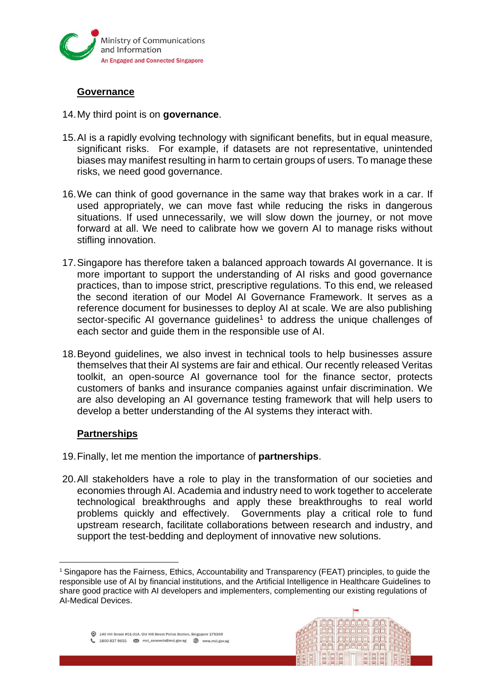

## **Governance**

- 14.My third point is on **governance**.
- 15.AI is a rapidly evolving technology with significant benefits, but in equal measure, significant risks. For example, if datasets are not representative, unintended biases may manifest resulting in harm to certain groups of users. To manage these risks, we need good governance.
- 16.We can think of good governance in the same way that brakes work in a car. If used appropriately, we can move fast while reducing the risks in dangerous situations. If used unnecessarily, we will slow down the journey, or not move forward at all. We need to calibrate how we govern AI to manage risks without stifling innovation.
- 17.Singapore has therefore taken a balanced approach towards AI governance. It is more important to support the understanding of AI risks and good governance practices, than to impose strict, prescriptive regulations. To this end, we released the second iteration of our Model AI Governance Framework. It serves as a reference document for businesses to deploy AI at scale. We are also publishing sector-specific AI governance guidelines<sup>1</sup> to address the unique challenges of each sector and guide them in the responsible use of AI.
- 18.Beyond guidelines, we also invest in technical tools to help businesses assure themselves that their AI systems are fair and ethical. Our recently released Veritas toolkit, an open-source AI governance tool for the finance sector, protects customers of banks and insurance companies against unfair discrimination. We are also developing an AI governance testing framework that will help users to develop a better understanding of the AI systems they interact with.

# **Partnerships**

- 19.Finally, let me mention the importance of **partnerships**.
- 20.All stakeholders have a role to play in the transformation of our societies and economies through AI. Academia and industry need to work together to accelerate technological breakthroughs and apply these breakthroughs to real world problems quickly and effectively. Governments play a critical role to fund upstream research, facilitate collaborations between research and industry, and support the test-bedding and deployment of innovative new solutions.



<sup>&</sup>lt;sup>1</sup> Singapore has the Fairness, Ethics, Accountability and Transparency (FEAT) principles, to guide the responsible use of AI by financial institutions, and the Artificial Intelligence in Healthcare Guidelines to share good practice with AI developers and implementers, complementing our existing regulations of AI-Medical Devices.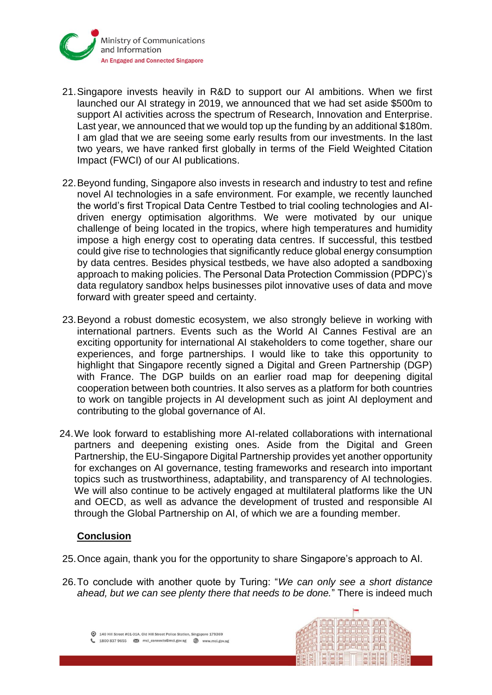

- 21.Singapore invests heavily in R&D to support our AI ambitions. When we first launched our AI strategy in 2019, we announced that we had set aside \$500m to support AI activities across the spectrum of Research, Innovation and Enterprise. Last year, we announced that we would top up the funding by an additional \$180m. I am glad that we are seeing some early results from our investments. In the last two years, we have ranked first globally in terms of the Field Weighted Citation Impact (FWCI) of our AI publications.
- 22.Beyond funding, Singapore also invests in research and industry to test and refine novel AI technologies in a safe environment. For example, we recently launched the world's first Tropical Data Centre Testbed to trial cooling technologies and AIdriven energy optimisation algorithms. We were motivated by our unique challenge of being located in the tropics, where high temperatures and humidity impose a high energy cost to operating data centres. If successful, this testbed could give rise to technologies that significantly reduce global energy consumption by data centres. Besides physical testbeds, we have also adopted a sandboxing approach to making policies. The Personal Data Protection Commission (PDPC)'s data regulatory sandbox helps businesses pilot innovative uses of data and move forward with greater speed and certainty.
- 23.Beyond a robust domestic ecosystem, we also strongly believe in working with international partners. Events such as the World AI Cannes Festival are an exciting opportunity for international AI stakeholders to come together, share our experiences, and forge partnerships. I would like to take this opportunity to highlight that Singapore recently signed a Digital and Green Partnership (DGP) with France. The DGP builds on an earlier road map for deepening digital cooperation between both countries. It also serves as a platform for both countries to work on tangible projects in AI development such as joint AI deployment and contributing to the global governance of AI.
- 24.We look forward to establishing more AI-related collaborations with international partners and deepening existing ones. Aside from the Digital and Green Partnership, the EU-Singapore Digital Partnership provides yet another opportunity for exchanges on AI governance, testing frameworks and research into important topics such as trustworthiness, adaptability, and transparency of AI technologies. We will also continue to be actively engaged at multilateral platforms like the UN and OECD, as well as advance the development of trusted and responsible AI through the Global Partnership on AI, of which we are a founding member.

### **Conclusion**

- 25.Once again, thank you for the opportunity to share Singapore's approach to AI.
- 26.To conclude with another quote by Turing: "*We can only see a short distance ahead, but we can see plenty there that needs to be done.*" There is indeed much